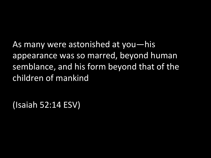As many were astonished at you—his appearance was so marred, beyond human semblance, and his form beyond that of the children of mankind 

(Isaiah 52:14 ESV)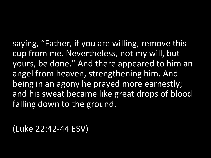saying, "Father, if you are willing, remove this cup from me. Nevertheless, not my will, but yours, be done." And there appeared to him an angel from heaven, strengthening him. And being in an agony he prayed more earnestly; and his sweat became like great drops of blood falling down to the ground.

(Luke 22:42-44 ESV)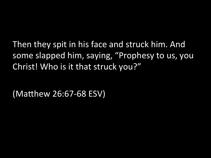Then they spit in his face and struck him. And some slapped him, saying, "Prophesy to us, you Christ! Who is it that struck you?"

(Matthew 26:67-68 ESV)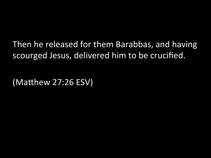Then he released for them Barabbas, and having scourged Jesus, delivered him to be crucified.

(Matthew 27:26 ESV)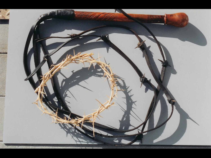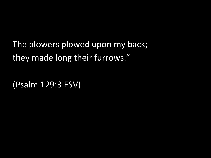The plowers plowed upon my back; they made long their furrows."

(Psalm 129:3 ESV)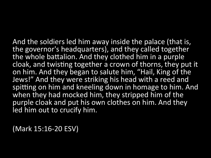And the soldiers led him away inside the palace (that is, the governor's headquarters), and they called together the whole battalion. And they clothed him in a purple cloak, and twisting together a crown of thorns, they put it on him. And they began to salute him, "Hail, King of the Jews!" And they were striking his head with a reed and spitting on him and kneeling down in homage to him. And when they had mocked him, they stripped him of the purple cloak and put his own clothes on him. And they led him out to crucify him.

(Mark 15:16-20 ESV)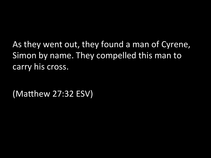As they went out, they found a man of Cyrene, Simon by name. They compelled this man to carry his cross.

 $(Mat$ hew 27:32 ESV)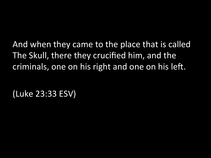And when they came to the place that is called The Skull, there they crucified him, and the criminals, one on his right and one on his left.

(Luke 23:33 ESV)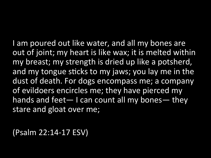I am poured out like water, and all my bones are out of joint; my heart is like wax; it is melted within my breast; my strength is dried up like a potsherd, and my tongue sticks to my jaws; you lay me in the dust of death. For dogs encompass me; a company of evildoers encircles me; they have pierced my hands and feet— I can count all my bones— they stare and gloat over me;

(Psalm 22:14-17 ESV)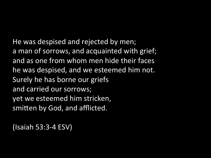He was despised and rejected by men; a man of sorrows, and acquainted with grief; and as one from whom men hide their faces he was despised, and we esteemed him not. Surely he has borne our griefs and carried our sorrows; yet we esteemed him stricken, smitten by God, and afflicted.

(Isaiah 53:3-4 ESV)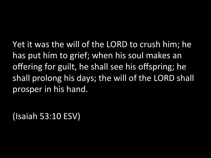Yet it was the will of the LORD to crush him; he has put him to grief; when his soul makes an offering for guilt, he shall see his offspring; he shall prolong his days; the will of the LORD shall prosper in his hand.

(Isaiah 53:10 ESV)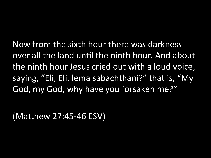Now from the sixth hour there was darkness over all the land until the ninth hour. And about the ninth hour Jesus cried out with a loud voice, saying, "Eli, Eli, lema sabachthani?" that is, "My God, my God, why have you forsaken me?"

(Matthew 27:45-46 ESV)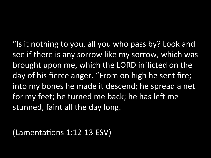"Is it nothing to you, all you who pass by? Look and see if there is any sorrow like my sorrow, which was brought upon me, which the LORD inflicted on the day of his fierce anger. "From on high he sent fire; into my bones he made it descend; he spread a net for my feet; he turned me back; he has left me stunned, faint all the day long.

# (Lamentations 1:12-13 ESV)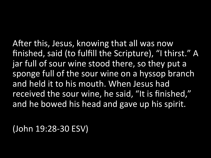After this, Jesus, knowing that all was now finished, said (to fulfill the Scripture), "I thirst." A jar full of sour wine stood there, so they put a sponge full of the sour wine on a hyssop branch and held it to his mouth. When Jesus had received the sour wine, he said, "It is finished," and he bowed his head and gave up his spirit.

(John 19:28-30 ESV)